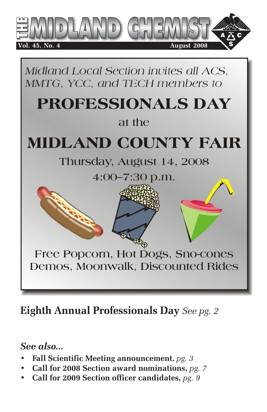

Midland Local Section invites all ACS. MMTG, YCC, and TECH members to

# PROFESSIONALS DAY

#### at the

# **MIDLAND COUNTY FAIR**

# Thursday, August 14, 2008

 $4:00 - 7:30$  p.m.

Free Popcorn, Hot Dogs, Sno-cones Demos, Moonwalk, Discounted Rides

# **Eighth Annual Professionals Day** *See pg. 2*

#### *See also...*

- **Fall Scientific Meeting announcement,** *pg. 3*
- **Call for 2008 Section award nominations,** *pg. 7*
- **Call for 2009 Section officer candidates,** *pg. 9*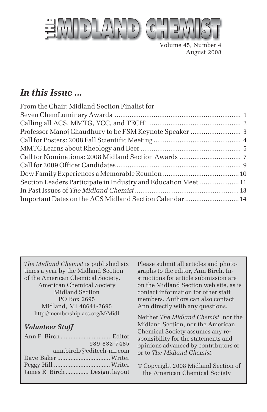

Volume 45, Number 4 August 2008

#### *In this Issue ...*

| From the Chair: Midland Section Finalist for                   |  |
|----------------------------------------------------------------|--|
|                                                                |  |
|                                                                |  |
|                                                                |  |
|                                                                |  |
|                                                                |  |
|                                                                |  |
|                                                                |  |
|                                                                |  |
| Section Leaders Participate in Industry and Education Meet  11 |  |
|                                                                |  |
| Important Dates on the ACS Midland Section Calendar  14        |  |

*The Midland Chemist* is published six times a year by the Midland Section of the American Chemical Society. American Chemical Society Midland Section PO Box 2695 Midland, MI 48641-2695 http://membership.acs.org/M/Midl

#### *Volunteer Staff*

|                                | 989-832-7485             |
|--------------------------------|--------------------------|
|                                | ann.birch@editech-mi.com |
|                                |                          |
|                                |                          |
| James R. Birch  Design, layout |                          |
|                                |                          |

Please submit all articles and photographs to the editor, Ann Birch. Instructions for article submission are on the Midland Section web site, as is contact information for other staff members. Authors can also contact Ann directly with any questions.

Neither *The Midland Chemist*, nor the Midland Section, nor the American Chemical Society assumes any responsibility for the statements and opinions advanced by contributors of or to *The Midland Chemist*.

© Copyright 2008 Midland Section of the American Chemical Society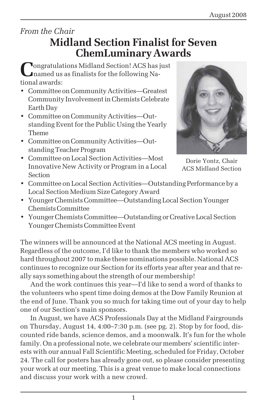# *From the Chair*

## **Midland Section Finalist for Seven ChemLuminary Awards**

**Congratulations Midland Section! ACS has just** named us as finalists for the following National awards:

- Committee on Community Activities—Greatest Community Involvement in Chemists Celebrate Earth Day
- Committee on Community Activities—Outstanding Event for the Public Using the Yearly Theme
- Committee on Community Activities—Outstanding Teacher Program
- Committee on Local Section Activities—Most Innovative New Activity or Program in a Local Section



Dorie Yontz, Chair ACS Midland Section

- Committee on Local Section Activities—Outstanding Performance by a Local Section Medium Size Category Award
- Younger Chemists Committee—Outstanding Local Section Younger Chemists Committee
- Younger Chemists Committee—Outstanding or Creative Local Section Younger Chemists Committee Event

The winners will be announced at the National ACS meeting in August. Regardless of the outcome, I'd like to thank the members who worked so hard throughout 2007 to make these nominations possible. National ACS continues to recognize our Section for its efforts year after year and that really says something about the strength of our membership!

And the work continues this year—I'd like to send a word of thanks to the volunteers who spent time doing demos at the Dow Family Reunion at the end of June. Thank you so much for taking time out of your day to help one of our Section's main sponsors.

In August, we have ACS Professionals Day at the Midland Fairgrounds on Thursday, August 14, 4:00–7:30 p.m. (see pg. 2). Stop by for food, discounted ride bands, science demos, and a moonwalk. It's fun for the whole family. On a professional note, we celebrate our members' scientific interests with our annual Fall Scientific Meeting, scheduled for Friday, October 24. The call for posters has already gone out, so please consider presenting your work at our meeting. This is a great venue to make local connections and discuss your work with a new crowd.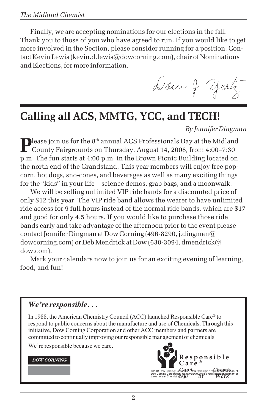Finally, we are accepting nominations for our elections in the fall. Thank you to those of you who have agreed to run. If you would like to get more involved in the Section, please consider running for a position. Contact Kevin Lewis (kevin.d.lewis@dowcorning.com), chair of Nominations and Elections, for more information.

Danie J. youtz

# **Calling all ACS, MMTG, YCC, and TECH!**

*By Jennifer Dingman*

Please join us for the 8<sup>th</sup> annual ACS Professionals Day at the Midland County Fairgrounds on Thursday, August 14, 2008, from 4:00–7:30 p.m. The fun starts at 4:00 p.m. in the Brown Picnic Building located on the north end of the Grandstand. This year members will enjoy free popcorn, hot dogs, sno-cones, and beverages as well as many exciting things for the "kids" in your life—science demos, grab bags, and a moonwalk.

We will be selling unlimited VIP ride bands for a discounted price of only \$12 this year. The VIP ride band allows the wearer to have unlimited ride access for 9 full hours instead of the normal ride bands, which are \$17 and good for only 4.5 hours. If you would like to purchase those ride bands early and take advantage of the afternoon prior to the event please contact Jennifer Dingman at Dow Corning (496-8290, j.dingman@ dowcorning.com) or Deb Mendrick at Dow (638-3094, dmendrick@ dow.com).

Mark your calendars now to join us for an exciting evening of learning, food, and fun!

#### *We're responsible . . .*

In 1988, the American Chemistry Council (ACC) launched Responsible Care® to respond to public concerns about the manufacture and use of Chemicals. Through this initiative, Dow Corning Corporation and other ACC members and partners are committed to continually improving our responsible management of chemicals.

We're responsible because we care.

#### **DOW CORNING**

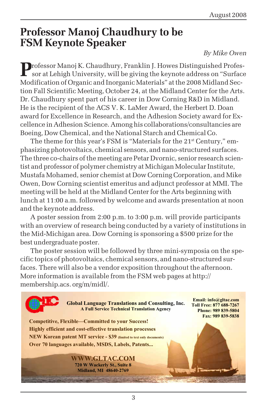#### **Professor Manoj Chaudhury to be FSM Keynote Speaker**

#### *By Mike Owen*

**P**rofessor Manoj K. Chaudhury, Franklin J. Howes Distinguished Profes- $\blacksquare$  sor at Lehigh University, will be giving the keynote address on "Surface" Modification of Organic and Inorganic Materials" at the 2008 Midland Section Fall Scientific Meeting, October 24, at the Midland Center for the Arts. Dr. Chaudhury spent part of his career in Dow Corning R&D in Midland. He is the recipient of the ACS V. K. LaMer Award, the Herbert D. Doan award for Excellence in Research, and the Adhesion Society award for Excellence in Adhesion Science. Among his collaborations/consultancies are Boeing, Dow Chemical, and the National Starch and Chemical Co.

The theme for this year's FSM is "Materials for the 21<sup>st</sup> Century," emphasizing photovoltaics, chemical sensors, and nano-structured surfaces. The three co-chairs of the meeting are Petar Dvornic, senior research scientist and professor of polymer chemistry at Michigan Molecular Institute, Mustafa Mohamed, senior chemist at Dow Corning Corporation, and Mike Owen, Dow Corning scientist emeritus and adjunct professor at MMI. The meeting will be held at the Midland Center for the Arts beginning with lunch at 11:00 a.m. followed by welcome and awards presentation at noon and the keynote address.

A poster session from 2:00 p.m. to 3:00 p.m. will provide participants with an overview of research being conducted by a variety of institutions in the Mid-Michigan area. Dow Corning is sponsoring a \$500 prize for the best undergraduate poster.

The poster session will be followed by three mini-symposia on the specific topics of photovoltaics, chemical sensors, and nano-structured surfaces. There will also be a vendor exposition throughout the afternoon. More information is available from the FSM web pages at http:// membership.acs. org/m/midl/.

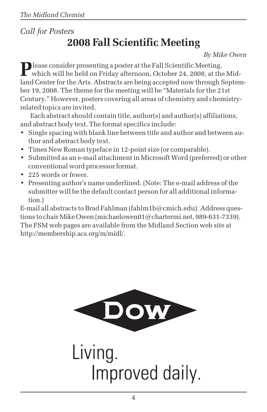#### *Call for Posters* **2008 Fall Scientific Meeting**

*By Mike Owen*

**P** lease consider presenting a poster at the Fall Scientific Meeting, which will be held on Friday afternoon, October 24, 2008, at the Midland Center for the Arts. Abstracts are being accepted now through September 19, 2008. The theme for the meeting will be "Materials for the 21st Century." However, posters covering all areas of chemistry and chemistryrelated topics are invited.

Each abstract should contain title, author(s) and author(s) affiliations, and abstract body text. The format specifics include:

- Single spacing with blank line between title and author and between author and abstract body text.
- Times New Roman typeface in 12-point size (or comparable).
- Submitted as an e-mail attachment in Microsoft Word (preferred) or other conventional word processor format.
- 225 words or fewer.
- Presenting author's name underlined. (Note: The e-mail address of the submitter will be the default contact person for all additional information.)

E-mail all abstracts to Brad Fahlman (fahlm1b@cmich.edu). Address questions to chair Mike Owen (michaelowen01@chartermi.net, 989-631-7339). The FSM web pages are available from the Midland Section web site at http://membership.acs.org/m/midl/.



Living. Improved daily.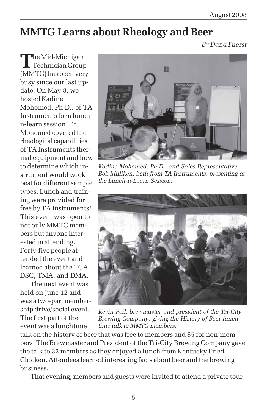# **MMTG Learns about Rheology and Beer**

*By Dana Fuerst*

**T**he Mid-Michigan Technician Group (MMTG) has been very busy since our last update. On May 8, we hosted Kadine Mohomed, Ph.D., of TA Instruments for a lunchn-learn session. Dr. Mohomed covered the rheological capabilities of TA Instruments thermal equipment and how to determine which instrument would work best for different sample types. Lunch and training were provided for free by TA Instruments! This event was open to not only MMTG members but anyone interested in attending. Forty-five people attended the event and learned about the TGA, DSC, TMA, and DMA.

The next event was held on June 12 and was a two-part membership drive/social event. The first part of the event was a lunchtime



*Kadine Mohomed, Ph.D., and Sales Representative Bob Milliken, both from TA Instruments, presenting at the Lunch-n-Learn Session.*



*Kevin Peil, brewmaster and president of the Tri-City Brewing Company, giving the History of Beer lunchtime talk to MMTG members.*

talk on the history of beer that was free to members and \$5 for non-members. The Brewmaster and President of the Tri-City Brewing Company gave the talk to 32 members as they enjoyed a lunch from Kentucky Fried Chicken. Attendees learned interesting facts about beer and the brewing business.

That evening, members and guests were invited to attend a private tour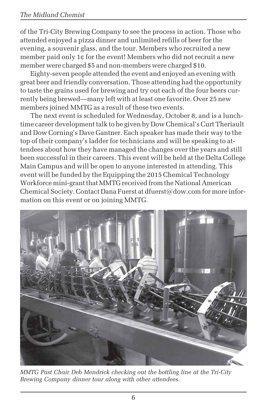of the Tri-City Brewing Company to see the process in action. Those who attended enjoyed a pizza dinner and unlimited refills of beer for the evening, a souvenir glass, and the tour. Members who recruited a new member paid only 1¢ for the event! Members who did not recruit a new member were charged \$5 and non-members were charged \$10.

Eighty-seven people attended the event and enjoyed an evening with great beer and friendly conversation. Those attending had the opportunity to taste the grains used for brewing and try out each of the four beers currently being brewed—many left with at least one favorite. Over 25 new members joined MMTG as a result of these two events.

The next event is scheduled for Wednesday, October 8, and is a lunchtime career development talk to be given by Dow Chemical's Curt Theriault and Dow Corning's Dave Gantner. Each speaker has made their way to the top of their company's ladder for technicians and will be speaking to attendees about how they have managed the changes over the years and still been successful in their careers. This event will be held at the Delta College Main Campus and will be open to anyone interested in attending. This event will be funded by the Equipping the 2015 Chemical Technology Workforce mini-grant that MMTG received from the National American Chemical Society. Contact Dana Fuerst at dfuerst@dow.com for more information on this event or on joining MMTG.



*MMTG Past Chair Deb Mendrick checking out the bottling line at the Tri-City Brewing Company dinner tour along with other attendees.*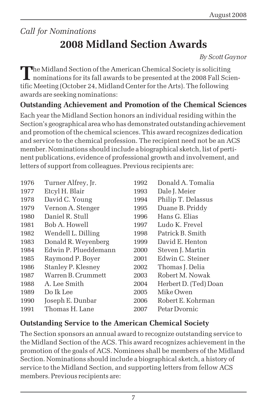# *Call for Nominations* **2008 Midland Section Awards**

*By Scott Gaynor*

The Midland Section of the American Chemical Society is soliciting<br>nominations for its fall awards to be presented at the 2008 Fall Scientific Meeting (October 24, Midland Center for the Arts). The following awards are seeking nominations:

#### **Outstanding Achievement and Promotion of the Chemical Sciences**

Each year the Midland Section honors an individual residing within the Section's geographical area who has demonstrated outstanding achievement and promotion of the chemical sciences. This award recognizes dedication and service to the chemical profession. The recipient need not be an ACS member. Nominations should include a biographical sketch, list of pertinent publications, evidence of professional growth and involvement, and letters of support from colleagues. Previous recipients are:

| 1976 | Turner Alfrey, Jr.   | 1992 | Donald A. Tomalia     |
|------|----------------------|------|-----------------------|
| 1977 | Etcyl H. Blair       | 1993 | Dale J. Meier         |
| 1978 | David C. Young       | 1994 | Philip T. Delassus    |
| 1979 | Vernon A. Stenger    | 1995 | Duane B. Priddy       |
| 1980 | Daniel R. Stull      | 1996 | Hans G. Elias         |
| 1981 | Bob A. Howell        | 1997 | Ludo K. Frevel        |
| 1982 | Wendell L. Dilling   | 1998 | Patrick B. Smith      |
| 1983 | Donald R. Weyenberg  | 1999 | David E. Henton       |
| 1984 | Edwin P. Plueddemann | 2000 | Steven J. Martin      |
| 1985 | Raymond P. Boyer     | 2001 | Edwin C. Steiner      |
| 1986 | Stanley P. Klesney   | 2002 | Thomas J. Delia       |
| 1987 | Warren B. Crummett   | 2003 | Robert M. Nowak       |
| 1988 | A. Lee Smith         | 2004 | Herbert D. (Ted) Doan |
| 1989 | Do Ik Lee            | 2005 | Mike Owen             |
| 1990 | Joseph E. Dunbar     | 2006 | Robert E. Kohrman     |
| 1991 | Thomas H. Lane       | 2007 | Petar Dyornic         |

#### **Outstanding Service to the American Chemical Society**

The Section sponsors an annual award to recognize outstanding service to the Midland Section of the ACS. This award recognizes achievement in the promotion of the goals of ACS. Nominees shall be members of the Midland Section. Nominations should include a biographical sketch, a history of service to the Midland Section, and supporting letters from fellow ACS members. Previous recipients are: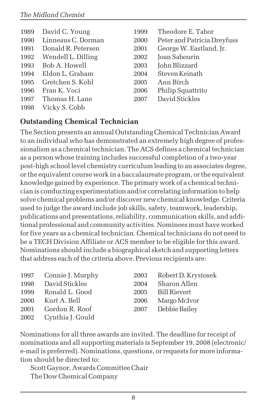| 1989 | David C. Young     | 1999 | Theodore E. Tabor           |
|------|--------------------|------|-----------------------------|
| 1990 | Linneaus C. Dorman | 2000 | Peter and Patricia Dreyfuss |
| 1991 | Donald R. Petersen | 2001 | George W. Eastland, Jr.     |
| 1992 | Wendell L. Dilling | 2002 | Joan Sabourin               |
| 1993 | Bob A. Howell      | 2003 | John Blizzard               |
| 1994 | Eldon L. Graham    | 2004 | Steven Keinath              |
| 1995 | Gretchen S. Kohl   | 2005 | Ann Birch                   |
| 1996 | Fran K. Voci       | 2006 | Philip Squattrito           |
| 1997 | Thomas H. Lane     | 2007 | David Stickles              |
| 1998 | Vicky S. Cobb      |      |                             |

#### **Outstanding Chemical Technician**

The Section presents an annual Outstanding Chemical Technician Award to an individual who has demonstrated an extremely high degree of professionalism as a chemical technician. The ACS defines a chemical technician as a person whose training includes successful completion of a two-year post-high school level chemistry curriculum leading to an associates degree, or the equivalent course work in a baccalaureate program, or the equivalent knowledge gained by experience. The primary work of a chemical technician is conducting experimentation and/or correlating information to help solve chemical problems and/or discover new chemical knowledge. Criteria used to judge the award include job skills, safety, teamwork, leadership, publications and presentations, reliability, communication skills, and additional professional and community activities. Nominees must have worked for five years as a chemical technician. Chemical technicians do not need to be a TECH Division Affiliate or ACS member to be eligible for this award. Nominations should include a biographical sketch and supporting letters that address each of the criteria above. Previous recipients are:

|      | 1997 Connie J. Murphy | 2003 | Robert D. Krystosek |
|------|-----------------------|------|---------------------|
| 1998 | David Stickles        | 2004 | Sharon Allen        |
|      | 1999 Ronald L. Good   |      | 2005 Bill Rievert   |
| 2000 | Kurt A. Bell          | 2006 | Margo McIvor        |
| 2001 | Gordon R. Roof        | 2007 | Debbie Bailey       |
|      | 2002 Cynthia J. Gould |      |                     |

Nominations for all three awards are invited. The deadline for receipt of nominations and all supporting materials is September 19, 2008 (electronic/ e-mail is preferred). Nominations, questions, or requests for more information should be directed to:

Scott Gaynor, Awards Committee Chair The Dow Chemical Company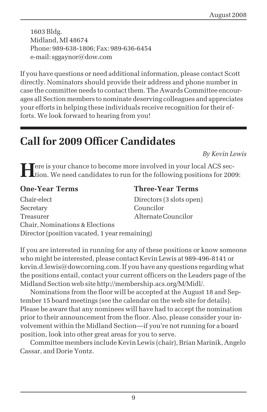1603 Bldg. Midland, MI 48674 Phone: 989-638-1806; Fax: 989-636-6454 e-mail: sggaynor@dow.com

If you have questions or need additional information, please contact Scott directly. Nominators should provide their address and phone number in case the committee needs to contact them. The Awards Committee encourages all Section members to nominate deserving colleagues and appreciates your efforts in helping these individuals receive recognition for their efforts. We look forward to hearing from you!

# **Call for 2009 Officer Candidates**

*By Kevin Lewis*

**H**ere is your chance to become more involved in your local ACS section. We need candidates to run for the following positions for 2009:

#### **One-Year Terms Three-Year Terms**

Chair-elect Directors (3 slots open) Secretary Councilor Treasurer **Alternate Councilor** Chair, Nominations & Elections Director (position vacated, 1 year remaining)

If you are interested in running for any of these positions or know someone who might be interested, please contact Kevin Lewis at 989-496-8141 or kevin.d.lewis@dowcorning.com. If you have any questions regarding what the positions entail, contact your current officers on the Leaders page of the Midland Section web site http://membership.acs.org/M/Midl/.

Nominations from the floor will be accepted at the August 18 and September 15 board meetings (see the calendar on the web site for details). Please be aware that any nominees will have had to accept the nomination prior to their announcement from the floor. Also, please consider your involvement within the Midland Section—if you're not running for a board position, look into other great areas for you to serve.

Committee members include Kevin Lewis (chair), Brian Marinik, Angelo Cassar, and Dorie Yontz.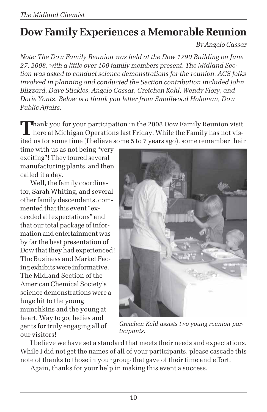# **Dow Family Experiences a Memorable Reunion**

*By Angelo Cassar*

*Note: The Dow Family Reunion was held at the Dow 1790 Building on June 27, 2008, with a little over 100 family members present. The Midland Section was asked to conduct science demonstrations for the reunion. ACS folks involved in planning and conducted the Section contribution included John Blizzard, Dave Stickles, Angelo Cassar, Gretchen Kohl, Wendy Flory, and Dorie Yontz. Below is a thank you letter from Smallwood Holoman, Dow Public Affairs.*

**Thank you for your participation in the 2008 Dow Family Reunion visit** here at Michigan Operations last Friday. While the Family has not visited us for some time (I believe some 5 to 7 years ago), some remember their

time with us as not being "very exciting"! They toured several manufacturing plants, and then called it a day.

Well, the family coordinator, Sarah Whiting, and several other family descendents, commented that this event "exceeded all expectations" and that our total package of information and entertainment was by far the best presentation of Dow that they had experienced! The Business and Market Facing exhibits were informative. The Midland Section of the American Chemical Society's science demonstrations were a huge hit to the young munchkins and the young at heart. Way to go, ladies and gents for truly engaging all of our visitors!



*Gretchen Kohl assists two young reunion participants.*

I believe we have set a standard that meets their needs and expectations. While I did not get the names of all of your participants, please cascade this note of thanks to those in your group that gave of their time and effort.

Again, thanks for your help in making this event a success.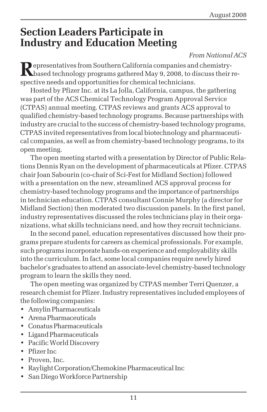### **Section Leaders Participate in Industry and Education Meeting**

#### *From National ACS*

Representatives from Southern California companies and chemistry-<br>based technology programs gathered May 9, 2008, to discuss their respective needs and opportunities for chemical technicians.

Hosted by Pfizer Inc. at its La Jolla, California, campus, the gathering was part of the ACS Chemical Technology Program Approval Service (CTPAS) annual meeting. CTPAS reviews and grants ACS approval to qualified chemistry-based technology programs. Because partnerships with industry are crucial to the success of chemistry-based technology programs, CTPAS invited representatives from local biotechnology and pharmaceutical companies, as well as from chemistry-based technology programs, to its open meeting.

The open meeting started with a presentation by Director of Public Relations Dennis Ryan on the development of pharmaceuticals at Pfizer. CTPAS chair Joan Sabourin (co-chair of Sci-Fest for Midland Section) followed with a presentation on the new, streamlined ACS approval process for chemistry-based technology programs and the importance of partnerships in technician education. CTPAS consultant Connie Murphy (a director for Midland Section) then moderated two discussion panels. In the first panel, industry representatives discussed the roles technicians play in their organizations, what skills technicians need, and how they recruit technicians.

In the second panel, education representatives discussed how their programs prepare students for careers as chemical professionals. For example, such programs incorporate hands-on experience and employability skills into the curriculum. In fact, some local companies require newly hired bachelor's graduates to attend an associate-level chemistry-based technology program to learn the skills they need.

The open meeting was organized by CTPAS member Terri Quenzer, a research chemist for Pfizer. Industry representatives included employees of the following companies:

- Amylin Pharmaceuticals
- Arena Pharmaceuticals
- Conatus Pharmaceuticals
- Ligand Pharmaceuticals
- Pacific World Discovery
- Pfizer Inc
- Proven, Inc.
- Raylight Corporation/Chemokine Pharmaceutical Inc
- San Diego Workforce Partnership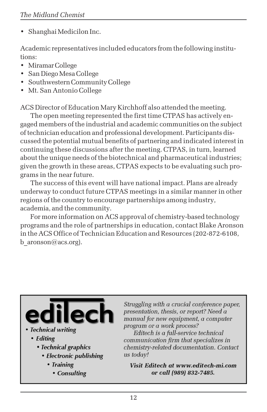• Shanghai Medicilon Inc.

Academic representatives included educators from the following institutions:

- Miramar College
- San Diego Mesa College
- Southwestern Community College
- Mt. San Antonio College

ACS Director of Education Mary Kirchhoff also attended the meeting.

The open meeting represented the first time CTPAS has actively engaged members of the industrial and academic communities on the subject of technician education and professional development. Participants discussed the potential mutual benefits of partnering and indicated interest in continuing these discussions after the meeting. CTPAS, in turn, learned about the unique needs of the biotechnical and pharmaceutical industries; given the growth in these areas, CTPAS expects to be evaluating such programs in the near future.

The success of this event will have national impact. Plans are already underway to conduct future CTPAS meetings in a similar manner in other regions of the country to encourage partnerships among industry, academia, and the community.

For more information on ACS approval of chemistry-based technology programs and the role of partnerships in education, contact Blake Aronson in the ACS Office of Technician Education and Resources (202-872-6108, b aronson@acs.org).



- Technical writing
	- Editing
		- Technical graphics
			- Electronic publishing
				- Training
					- Consulting

Struggling with a crucial conference paper, presentation, thesis, or report? Need a manual for new equipment, a computer program or a work process?

Editech is a full-service technical communication firm that specializes in chemistry-related documentation. Contact us todav!

Visit Editech at www.editech-mi.com or call (989) 832-7485.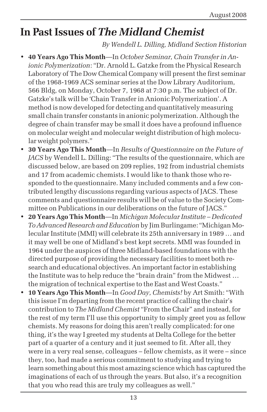# **In Past Issues of** *The Midland Chemist*

#### *By Wendell L. Dilling, Midland Section Historian*

- **40 Years Ago This Month**—In *October Seminar, Chain Transfer in Anionic Polymerization*: "Dr. Arnold L. Gatzke from the Physical Research Laboratory of The Dow Chemical Company will present the first seminar of the 1968-1969 ACS seminar series at the Dow Library Auditorium, 566 Bldg, on Monday, October 7, 1968 at 7:30 p.m. The subject of Dr. Gatzke's talk will be 'Chain Transfer in Anionic Polymerization'. A method is now developed for detecting and quantitatively measuring small chain transfer constants in anionic polymerization. Although the degree of chain transfer may be small it does have a profound influence on molecular weight and molecular weight distribution of high molecular weight polymers."
- **30 Years Ago This Month**—In *Results of Questionnaire on the Future of JACS* by Wendell L. Dilling: "The results of the questionnaire, which are discussed below, are based on 209 replies, 192 from industrial chemists and 17 from academic chemists. I would like to thank those who responded to the questionnaire. Many included comments and a few contributed lengthy discussions regarding various aspects of JACS. These comments and questionnaire results will be of value to the Society Committee on Publications in our deliberations on the future of JACS."
- **20 Years Ago This Month**—In *Michigan Molecular Institute Dedicated To Advanced Research and Education* by Jim Burlingame: "Michigan Molecular Institute (MMI) will celebrate its 25th anniversary in 1989 … and it may well be one of Midland's best kept secrets. MMI was founded in 1964 under the auspices of three Midland-based foundations with the directed purpose of providing the necessary facilities to meet both research and educational objectives. An important factor in establishing the Institute was to help reduce the "brain drain" from the Midwest … the migration of technical expertise to the East and West Coasts."
- **10 Years Ago This Month**—In *Good Day, Chemists!* by Art Smith: "With this issue I'm departing from the recent practice of calling the chair's contribution to *The Midland Chemist* "From the Chair" and instead, for the rest of my term I'll use this opportunity to simply greet you as fellow chemists. My reasons for doing this aren't really complicated: for one thing, it's the way I greeted my students at Delta College for the better part of a quarter of a century and it just seemed to fit. After all, they were in a very real sense, colleagues – fellow chemists, as it were – since they, too, had made a serious commitment to studying and trying to learn something about this most amazing science which has captured the imaginations of each of us through the years. But also, it's a recognition that you who read this are truly my colleagues as well."